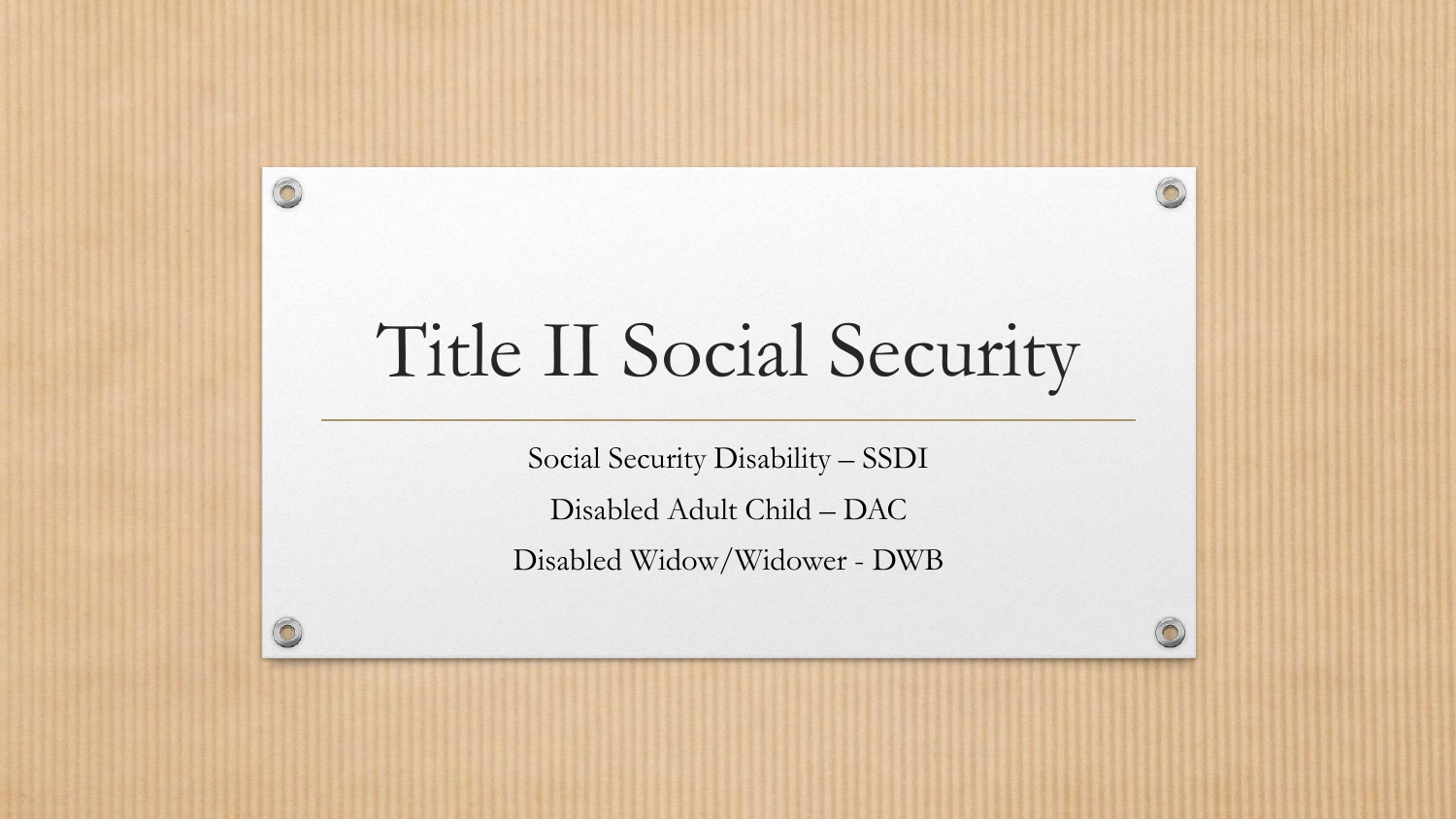# Title II Social Security

6

 $\circledcirc$ 

 $\bigcirc$ 

Social Security Disability – SSDI

Disabled Adult Child – DAC

Disabled Widow/Widower - DWB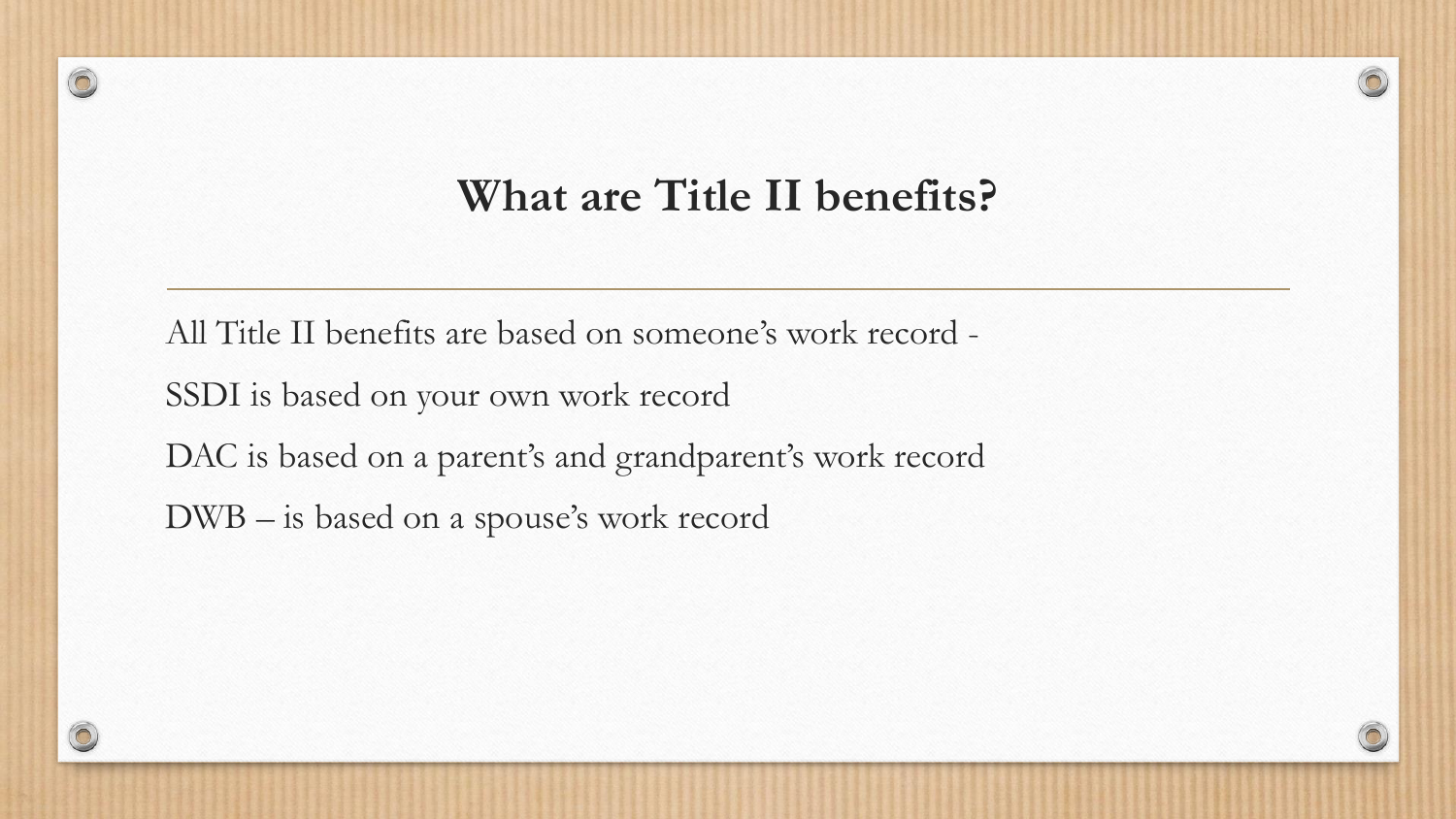#### **What are Title II benefits?**

All Title II benefits are based on someone's work record - SSDI is based on your own work record DAC is based on a parent's and grandparent's work record DWB – is based on a spouse's work record



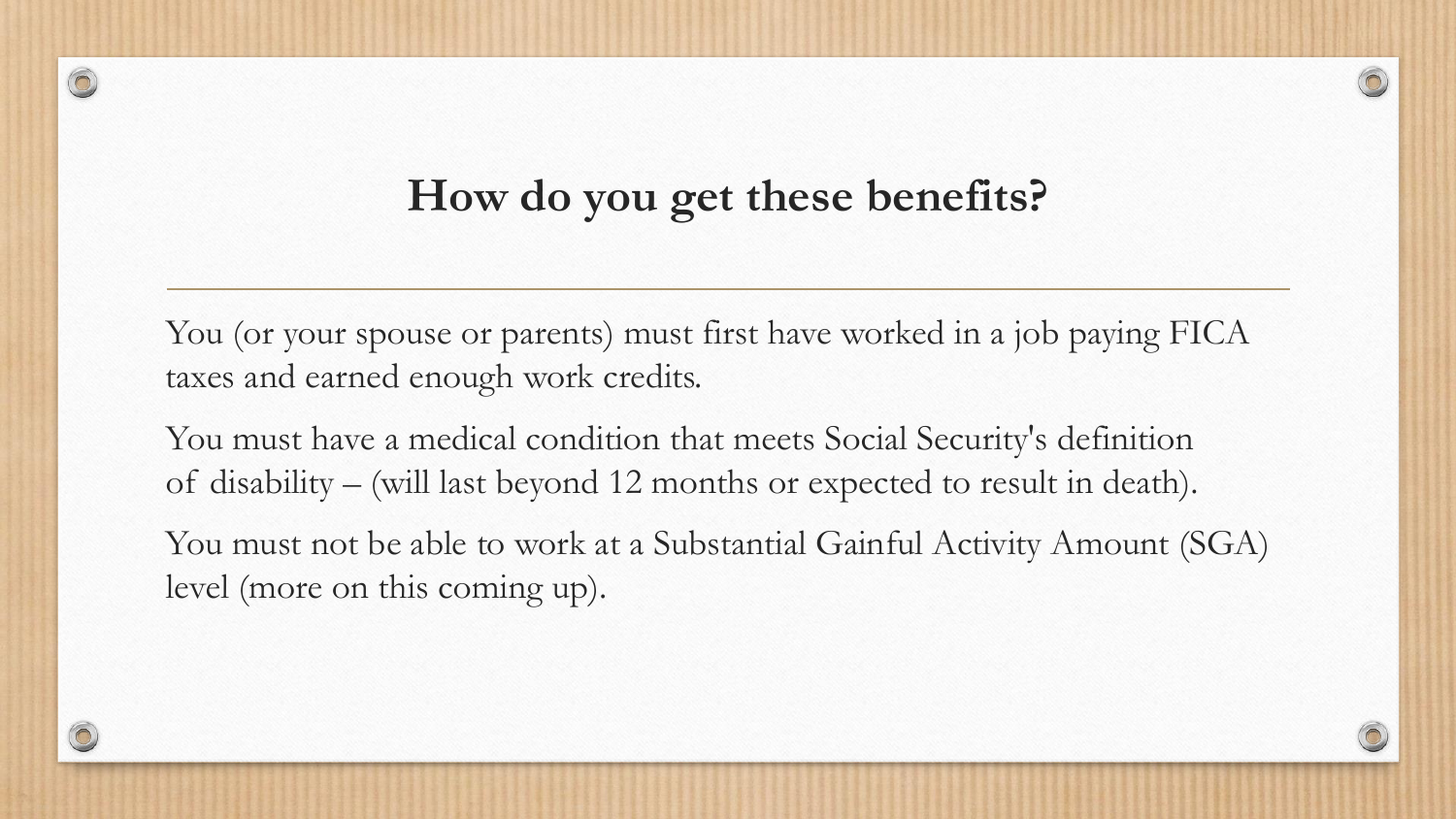#### **How do you get these benefits?**

You (or your spouse or parents) must first have worked in a job paying FICA taxes and earned enough work credits.

You must have a medical condition that meets Social Security's definition of disability – (will last beyond 12 months or expected to result in death).

You must not be able to work at a Substantial Gainful Activity Amount (SGA) level (more on this coming up).

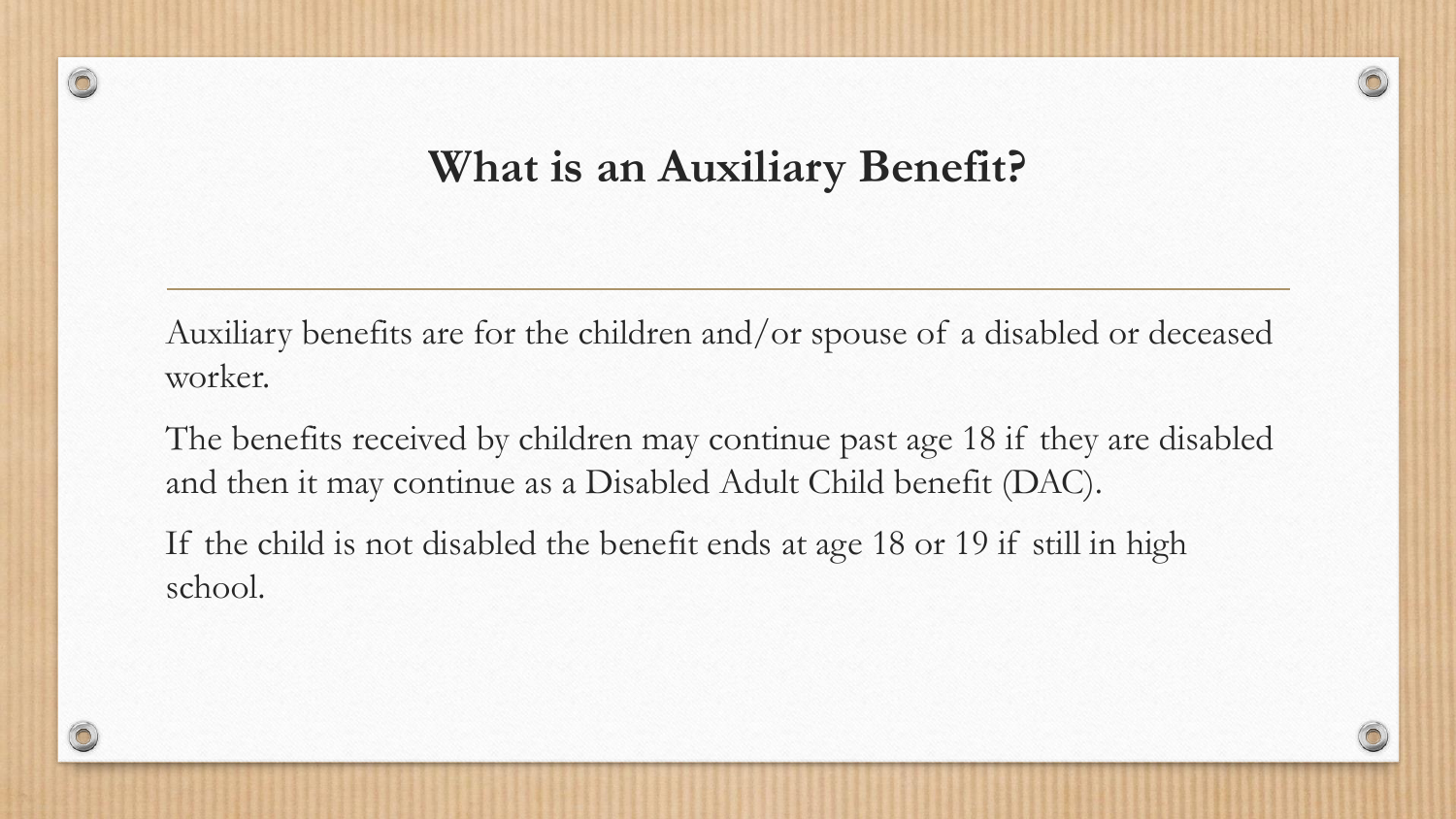#### **What is an Auxiliary Benefit?**

Auxiliary benefits are for the children and/or spouse of a disabled or deceased worker.

The benefits received by children may continue past age 18 if they are disabled and then it may continue as a Disabled Adult Child benefit (DAC).

If the child is not disabled the benefit ends at age 18 or 19 if still in high school.

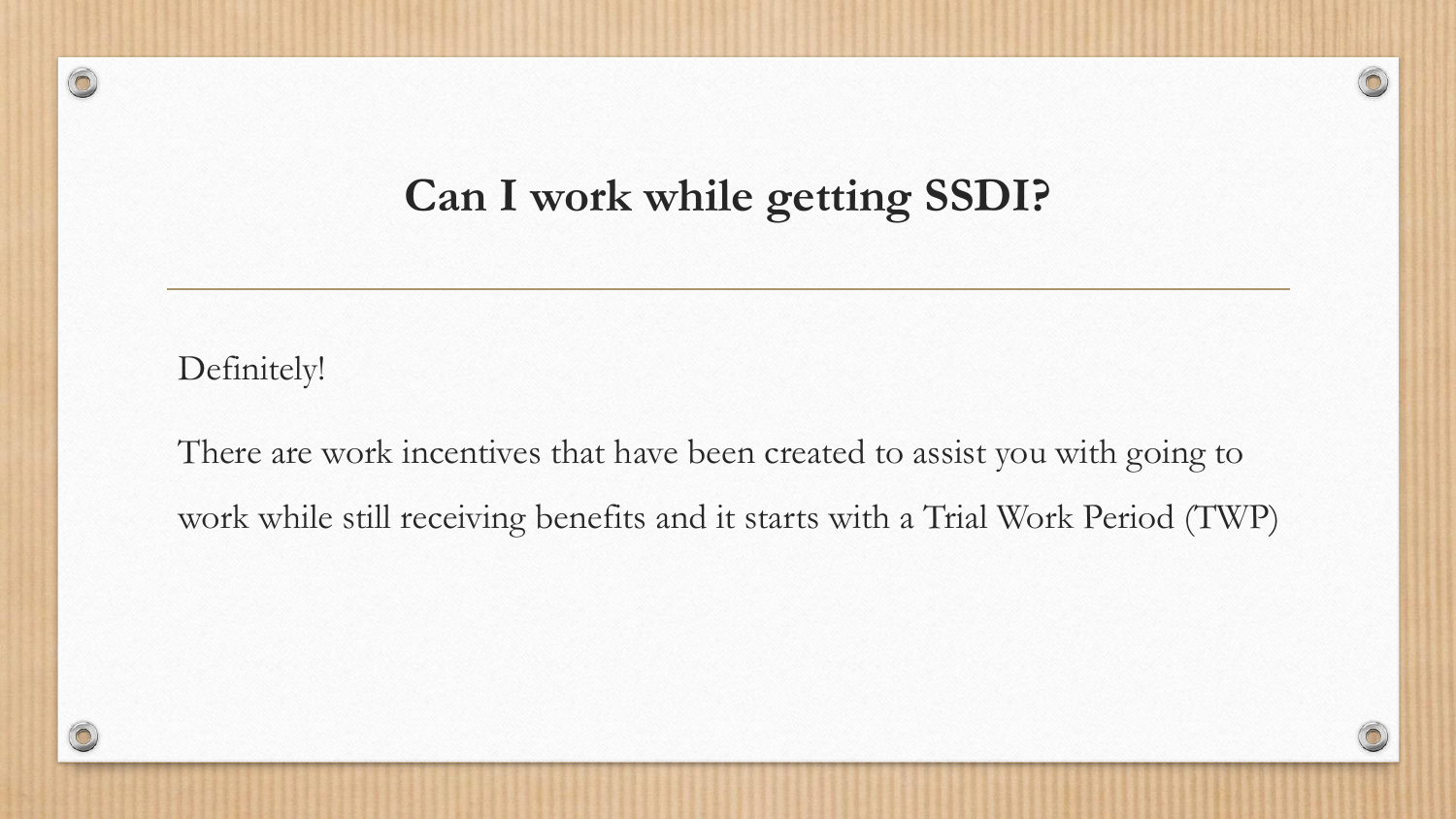#### **Can I work while getting SSDI?**

 $\sqrt{2}$ 

Definitely!

There are work incentives that have been created to assist you with going to work while still receiving benefits and it starts with a Trial Work Period (TWP)

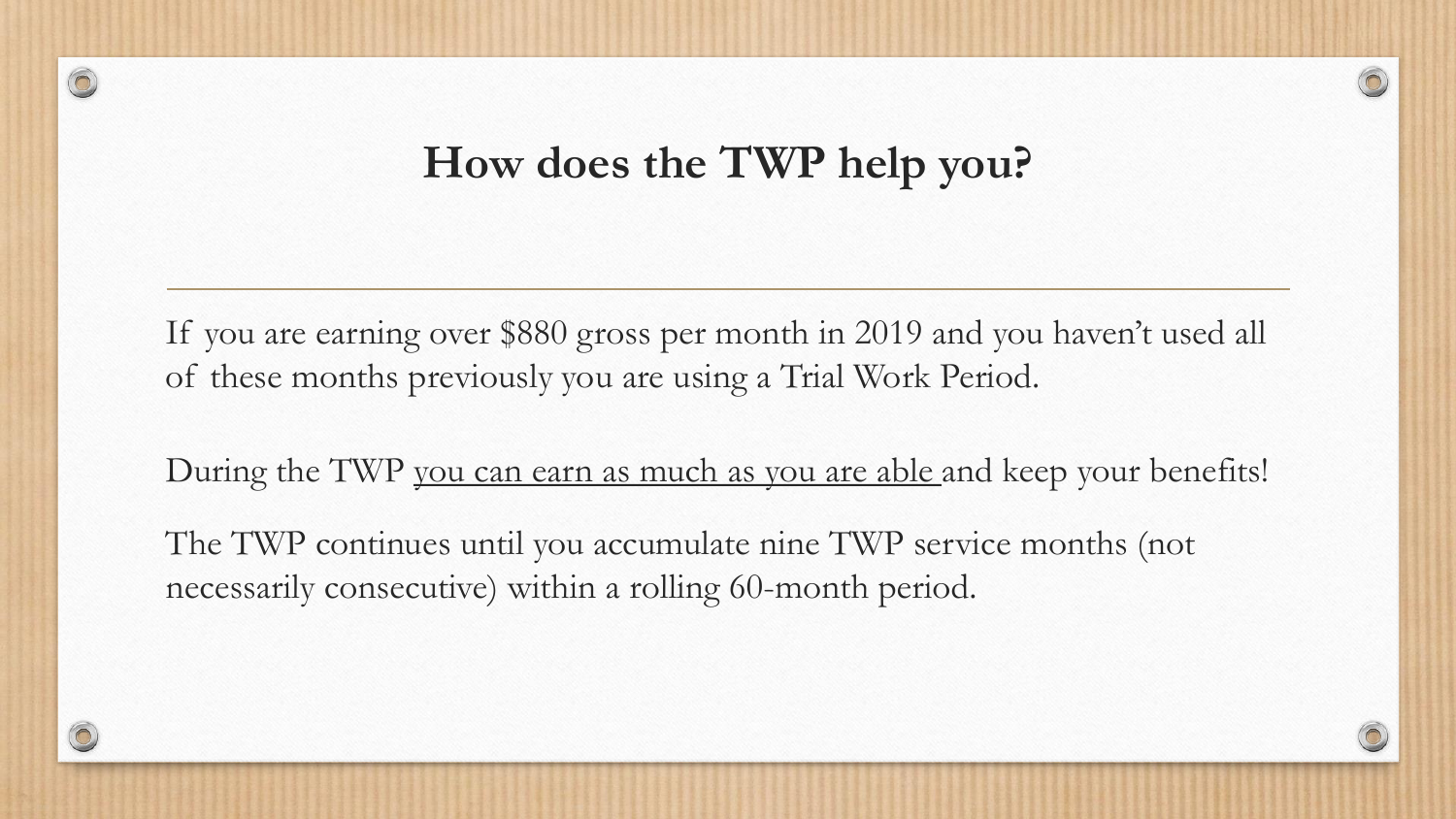#### **How does the TWP help you?**

If you are earning over \$880 gross per month in 2019 and you haven't used all of these months previously you are using a Trial Work Period.

During the TWP you can earn as much as you are able and keep your benefits!

The TWP continues until you accumulate nine TWP service months (not necessarily consecutive) within a rolling 60-month period.

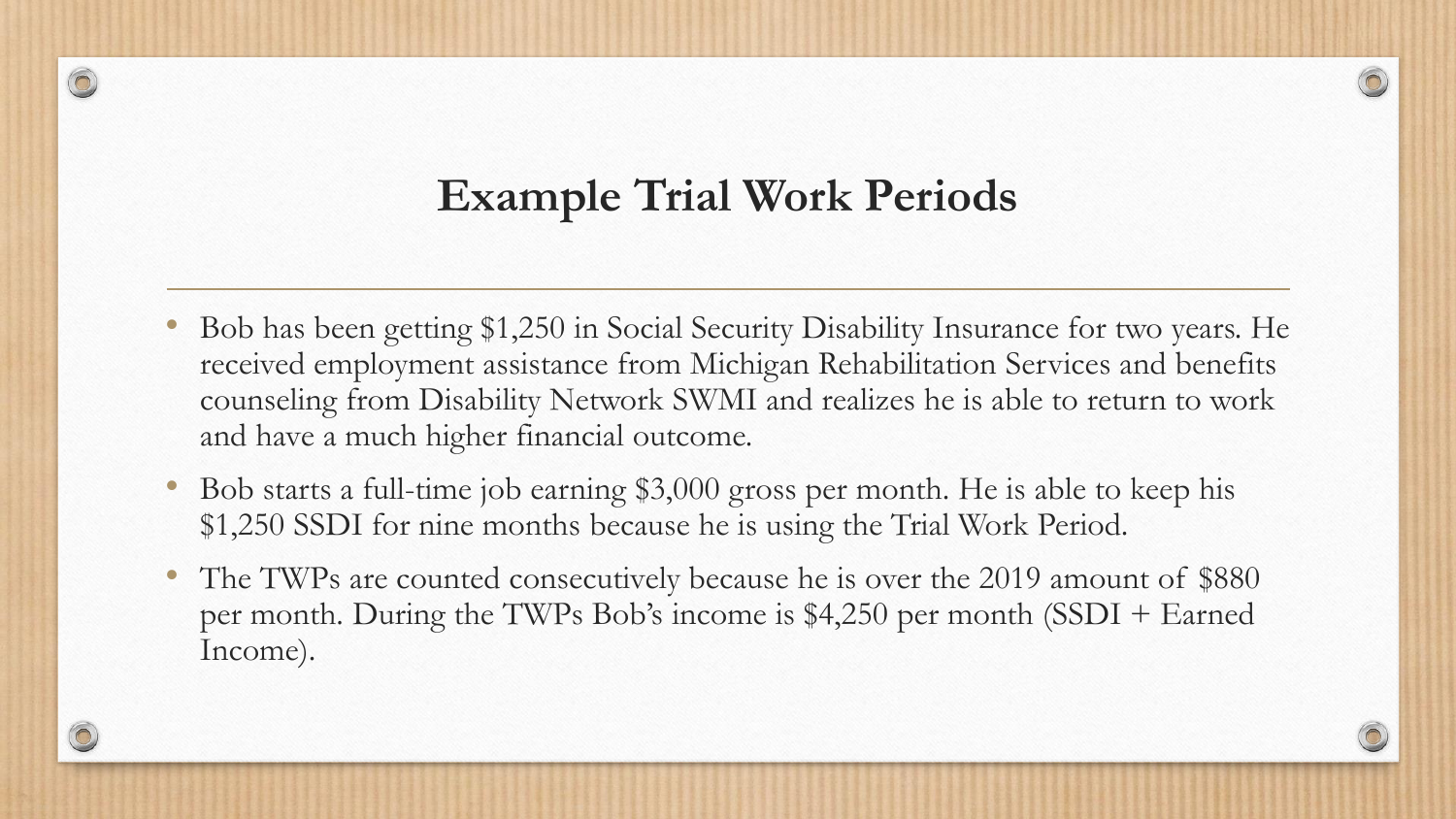#### **Example Trial Work Periods**

- Bob has been getting \$1,250 in Social Security Disability Insurance for two years. He received employment assistance from Michigan Rehabilitation Services and benefits counseling from Disability Network SWMI and realizes he is able to return to work and have a much higher financial outcome.
- Bob starts a full-time job earning \$3,000 gross per month. He is able to keep his \$1,250 SSDI for nine months because he is using the Trial Work Period.
- The TWPs are counted consecutively because he is over the 2019 amount of \$880 per month. During the TWPs Bob's income is \$4,250 per month (SSDI + Earned Income).

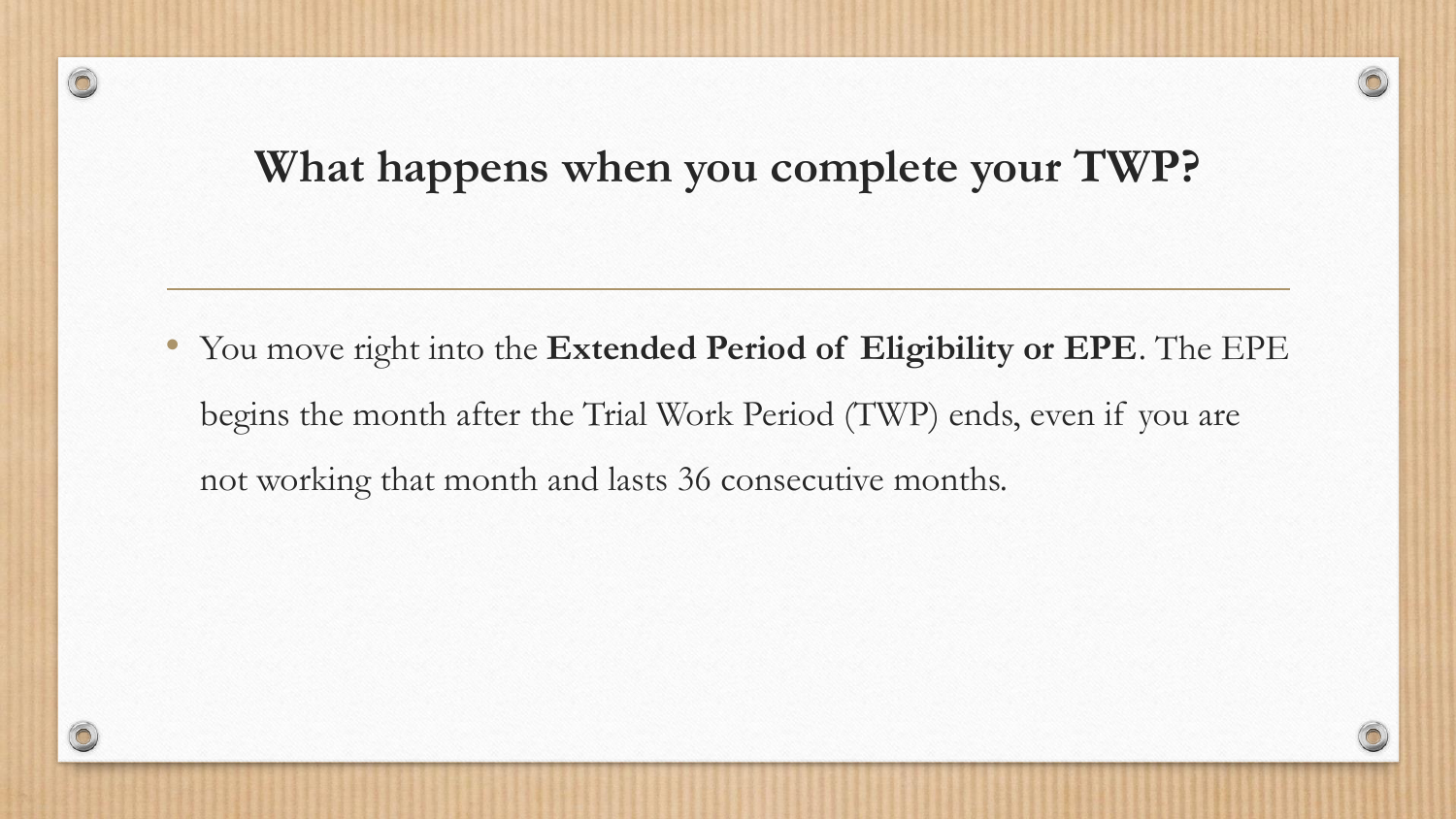#### **What happens when you complete your TWP?**

• You move right into the **Extended Period of Eligibility or EPE**. The EPE begins the month after the Trial Work Period (TWP) ends, even if you are not working that month and lasts 36 consecutive months.

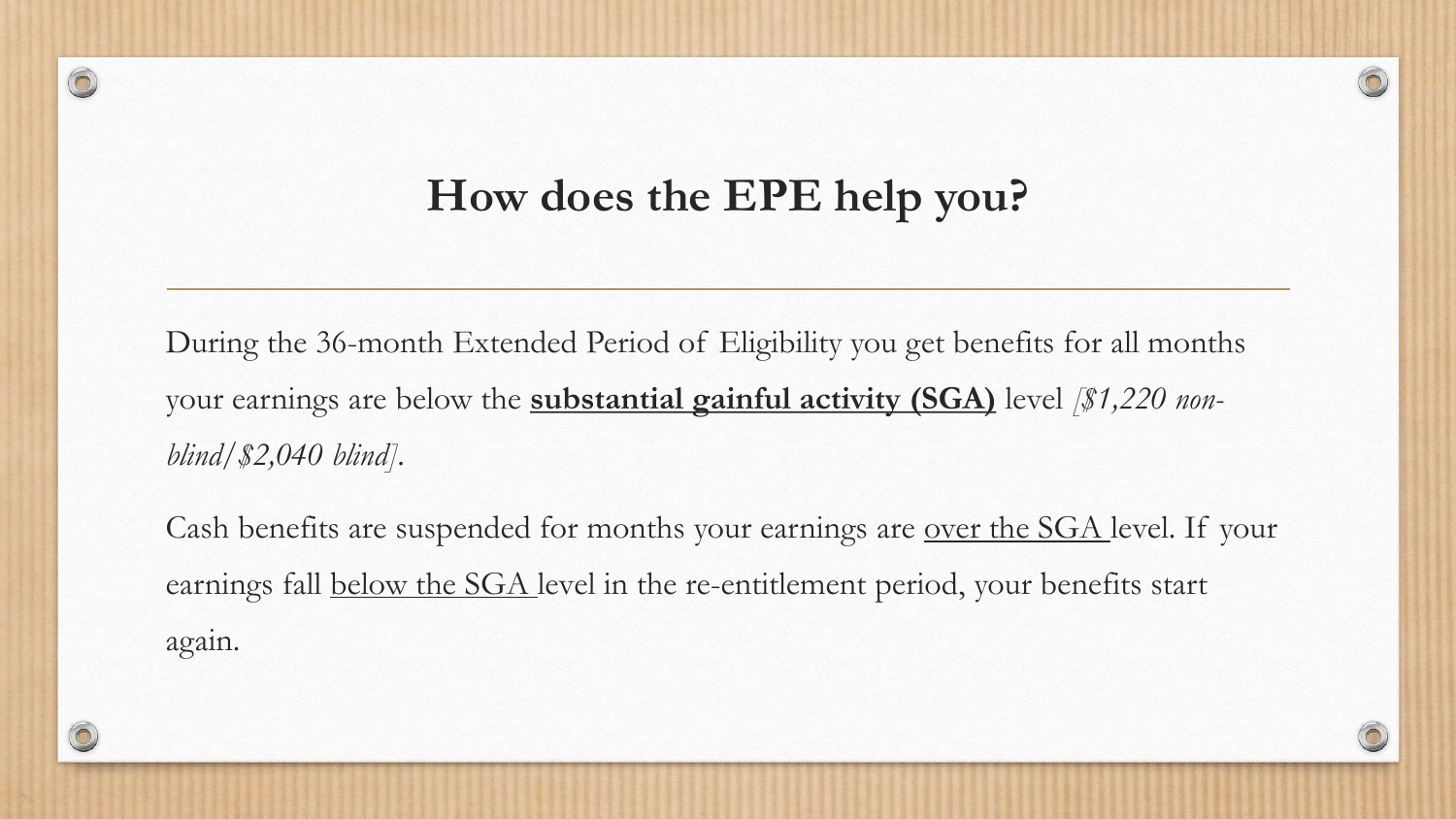#### **How does the EPE help you?**

 $\circledcirc$ 

During the 36-month Extended Period of Eligibility you get benefits for all months your earnings are below the **substantial gainful activity (SGA)** level *[\$1,220 nonblind/\$2,040 blind]*.

Cash benefits are suspended for months your earnings are over the SGA level. If your earnings fall below the SGA level in the re-entitlement period, your benefits start again.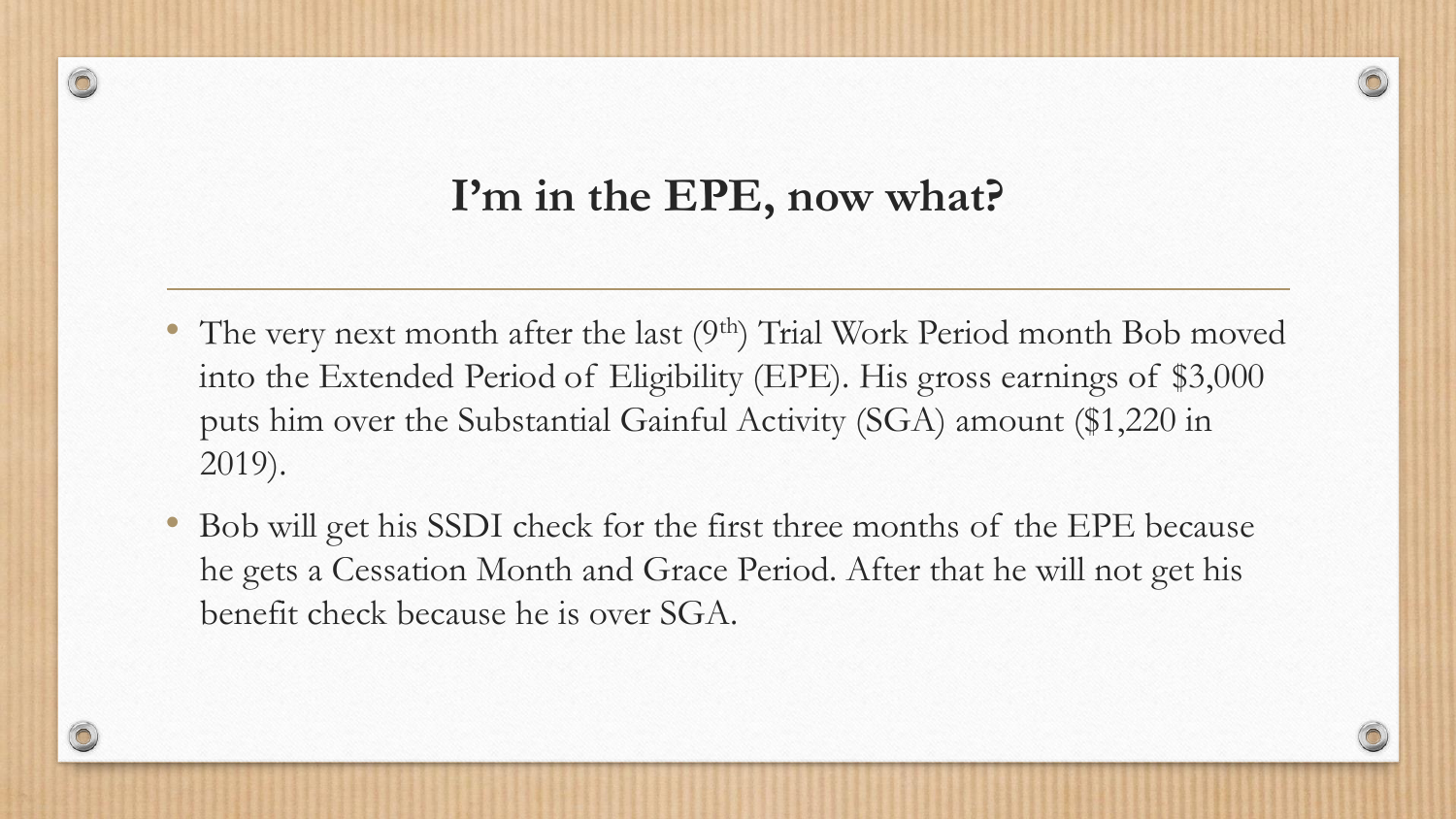#### **I'm in the EPE, now what?**

- The very next month after the last  $(9<sup>th</sup>)$  Trial Work Period month Bob moved into the Extended Period of Eligibility (EPE). His gross earnings of \$3,000 puts him over the Substantial Gainful Activity (SGA) amount (\$1,220 in 2019).
- Bob will get his SSDI check for the first three months of the EPE because he gets a Cessation Month and Grace Period. After that he will not get his benefit check because he is over SGA.

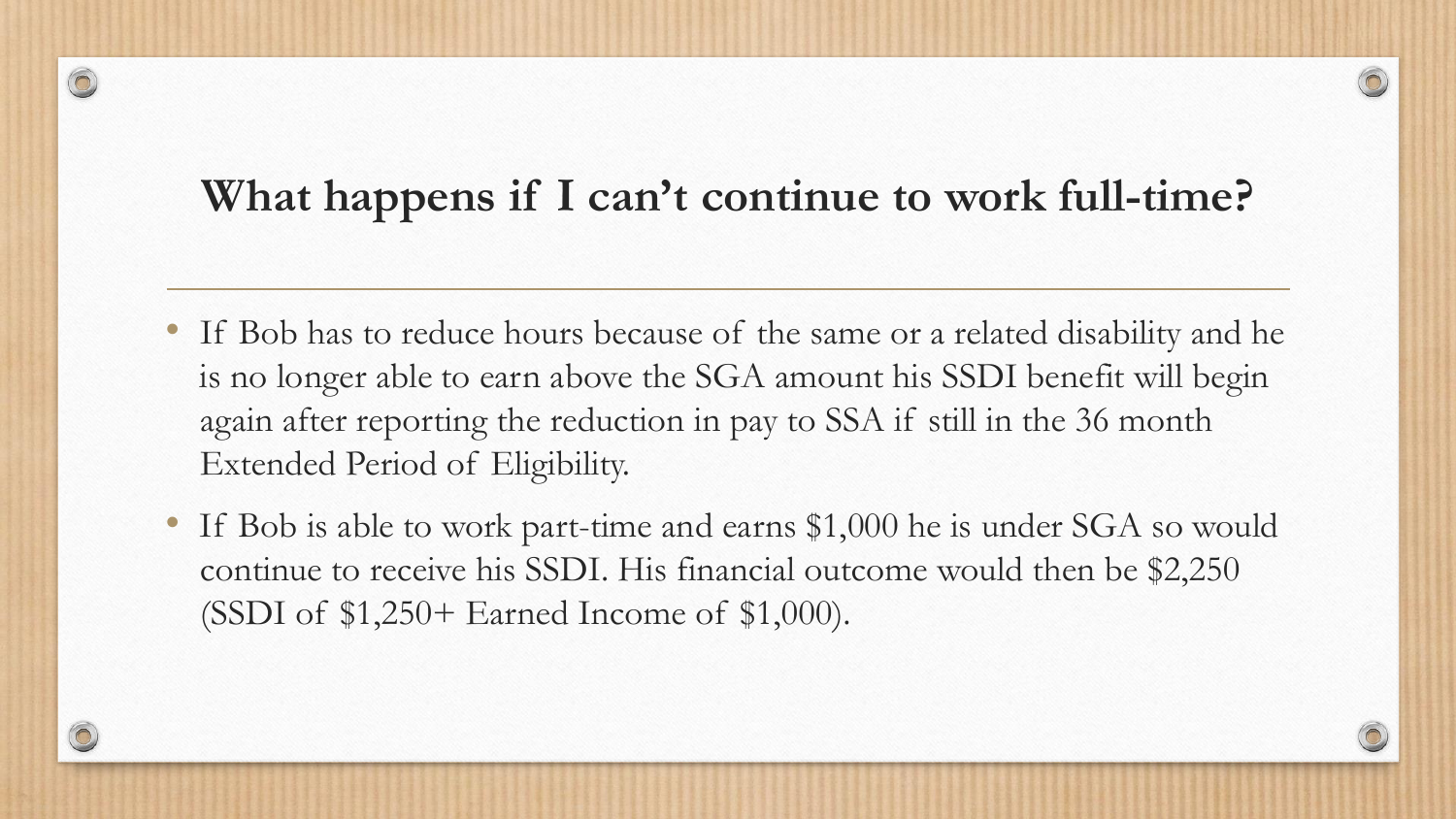#### **What happens if I can't continue to work full-time?**

- If Bob has to reduce hours because of the same or a related disability and he is no longer able to earn above the SGA amount his SSDI benefit will begin again after reporting the reduction in pay to SSA if still in the 36 month Extended Period of Eligibility.
- If Bob is able to work part-time and earns \$1,000 he is under SGA so would continue to receive his SSDI. His financial outcome would then be \$2,250 (SSDI of \$1,250+ Earned Income of \$1,000).

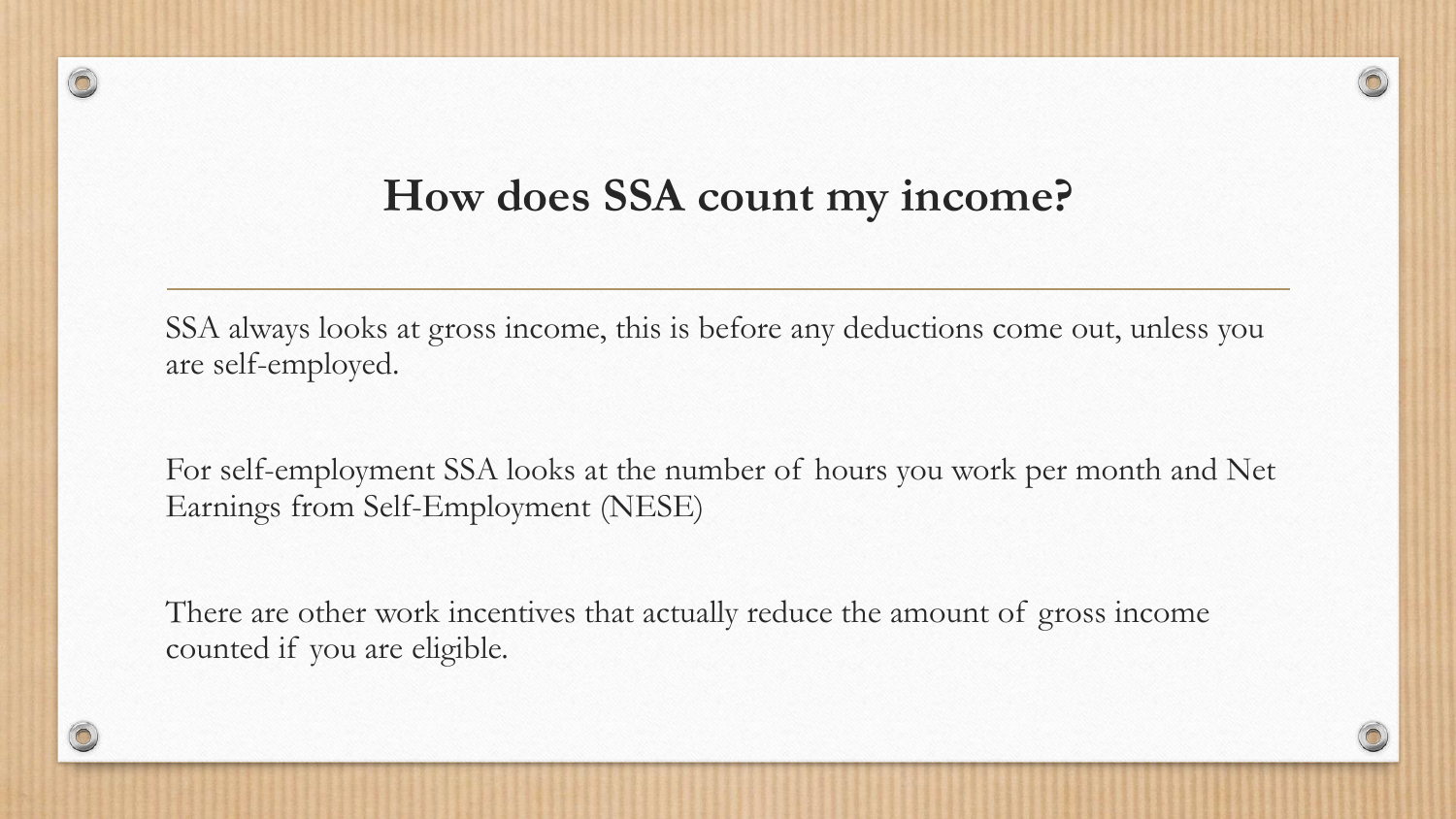#### **How does SSA count my income?**

 $\circledcirc$ 

SSA always looks at gross income, this is before any deductions come out, unless you are self-employed.

For self-employment SSA looks at the number of hours you work per month and Net Earnings from Self-Employment (NESE)

There are other work incentives that actually reduce the amount of gross income counted if you are eligible.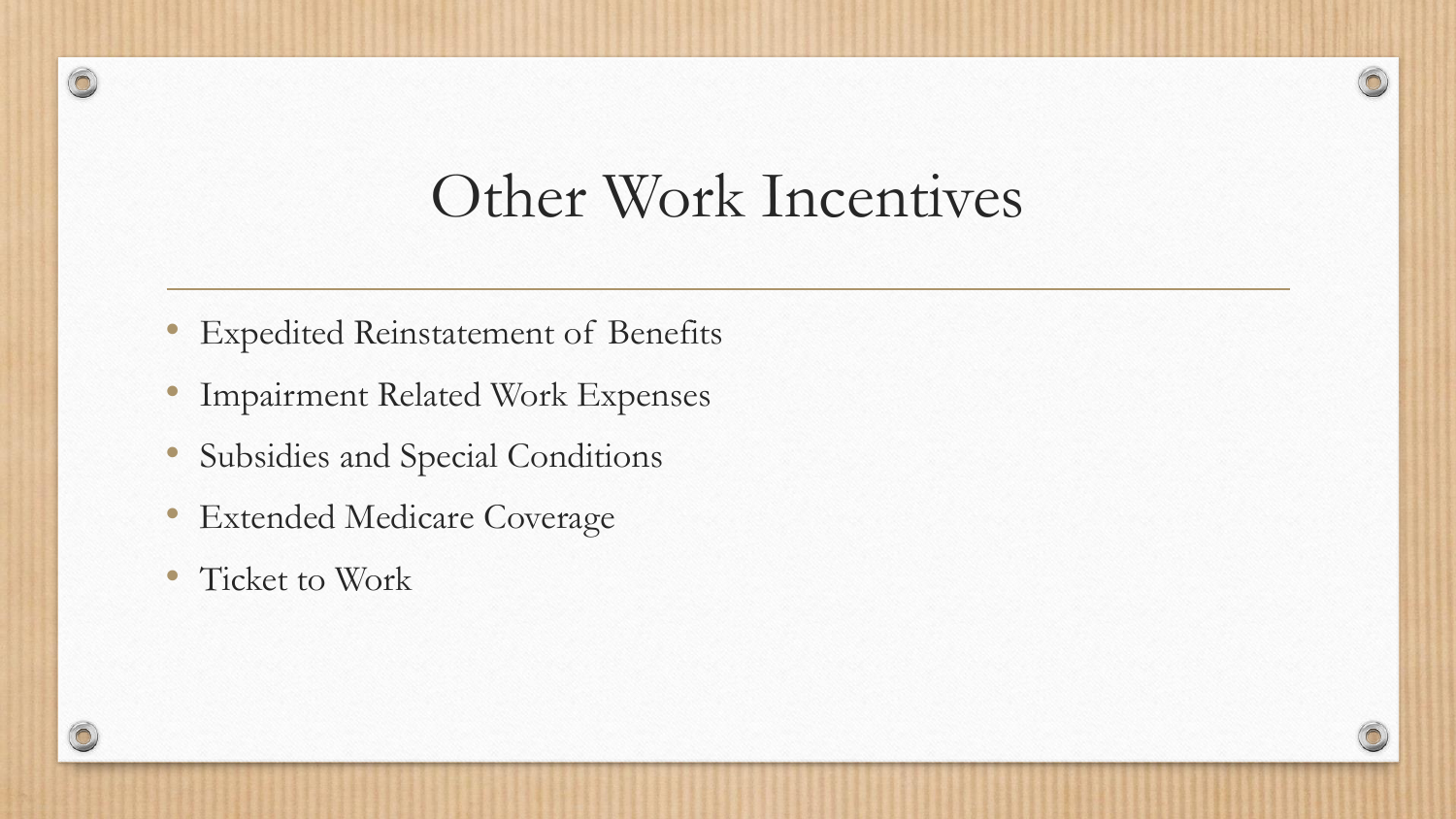### Other Work Incentives

 $\odot$ 

- Expedited Reinstatement of Benefits
- Impairment Related Work Expenses
- Subsidies and Special Conditions
- Extended Medicare Coverage
- Ticket to Work

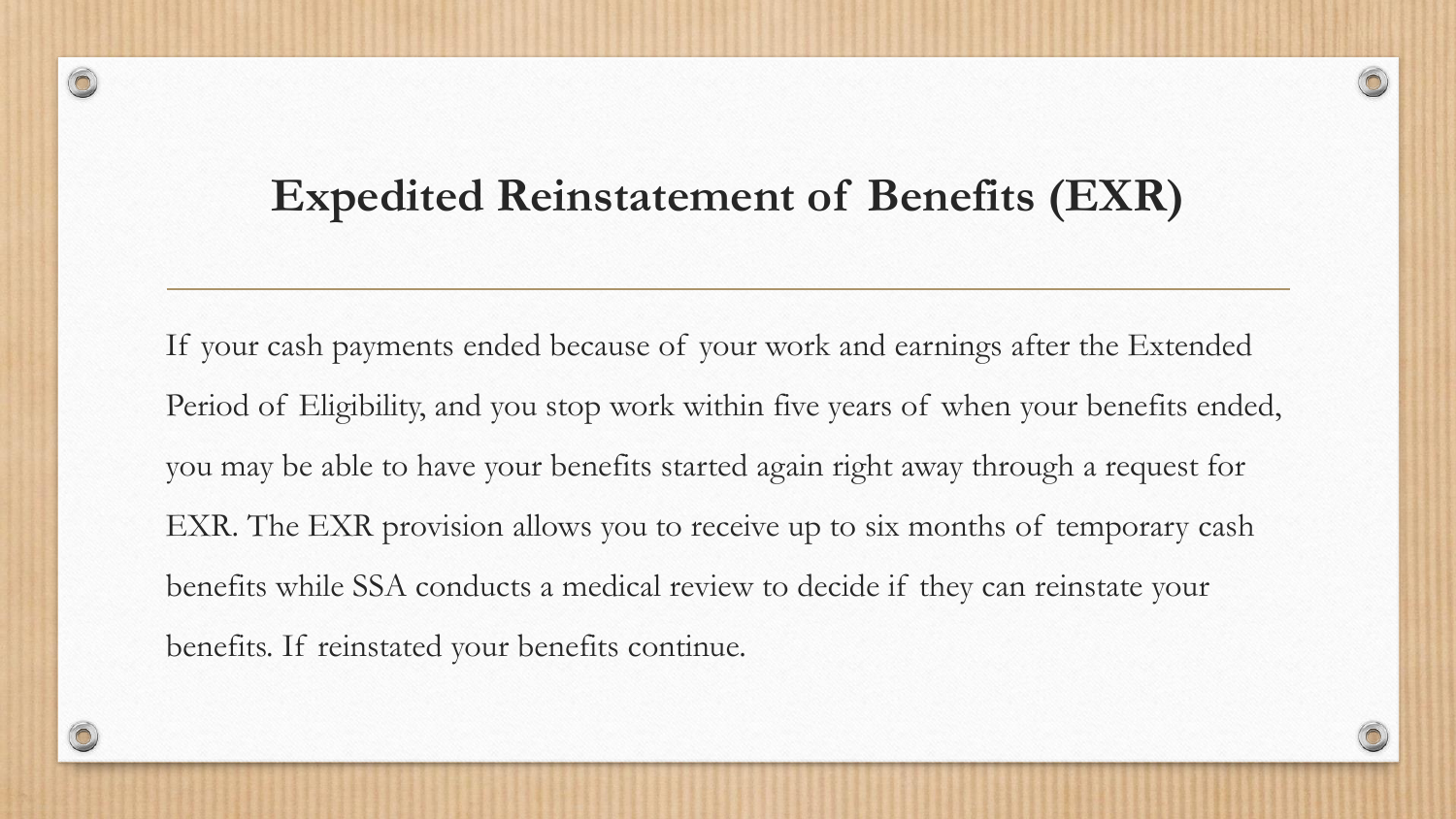#### **Expedited Reinstatement of Benefits (EXR)**

 $\circledcirc$ 

If your cash payments ended because of your work and earnings after the Extended Period of Eligibility, and you stop work within five years of when your benefits ended, you may be able to have your benefits started again right away through a request for EXR. The EXR provision allows you to receive up to six months of temporary cash benefits while SSA conducts a medical review to decide if they can reinstate your benefits. If reinstated your benefits continue.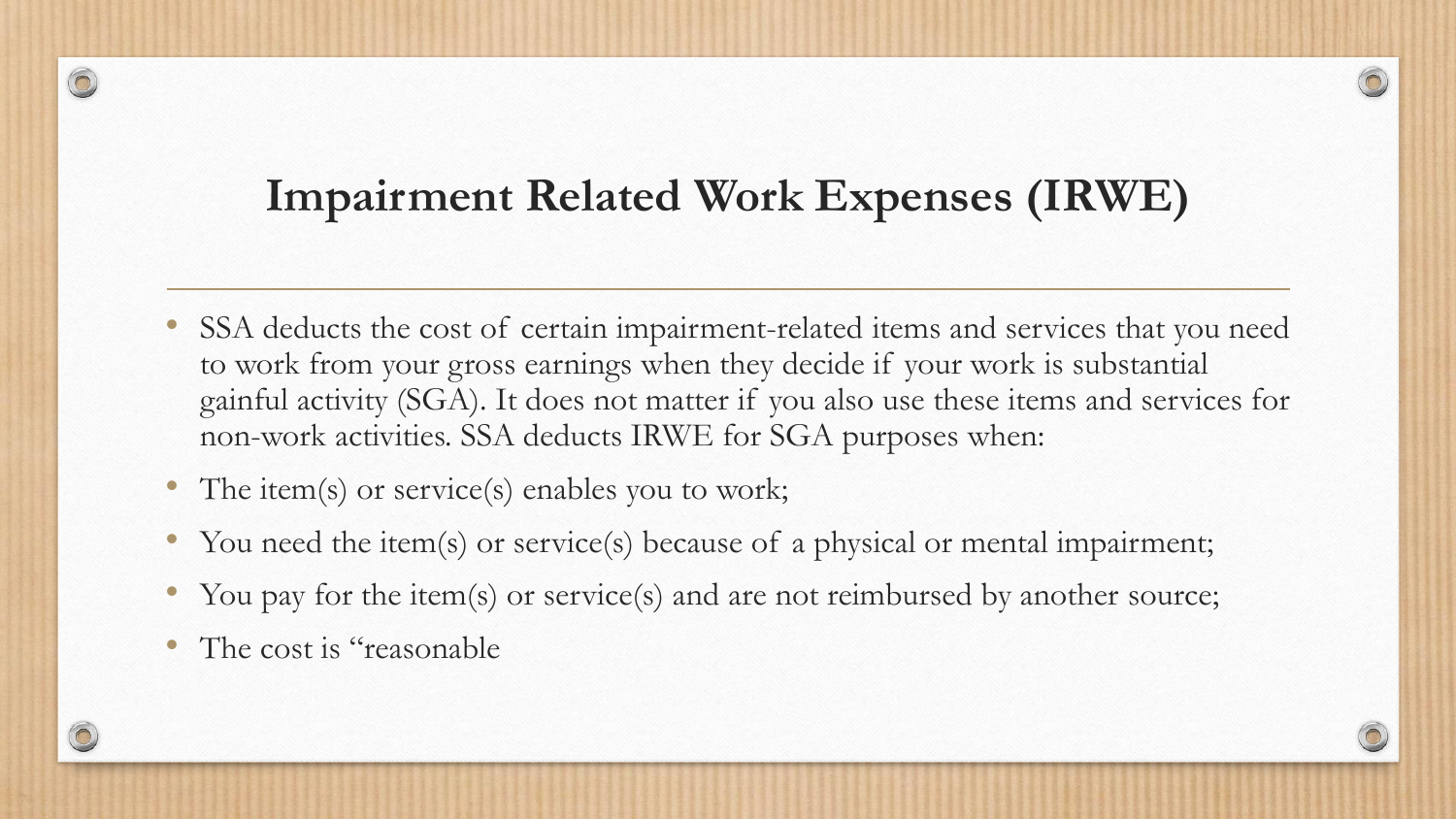#### **Impairment Related Work Expenses (IRWE)**

- SSA deducts the cost of certain impairment-related items and services that you need to work from your gross earnings when they decide if your work is substantial gainful activity (SGA). It does not matter if you also use these items and services for non-work activities. SSA deducts IRWE for SGA purposes when:
- The item(s) or service(s) enables you to work;
- You need the item(s) or service(s) because of a physical or mental impairment;
- You pay for the item(s) or service(s) and are not reimbursed by another source;
- The cost is "reasonable"

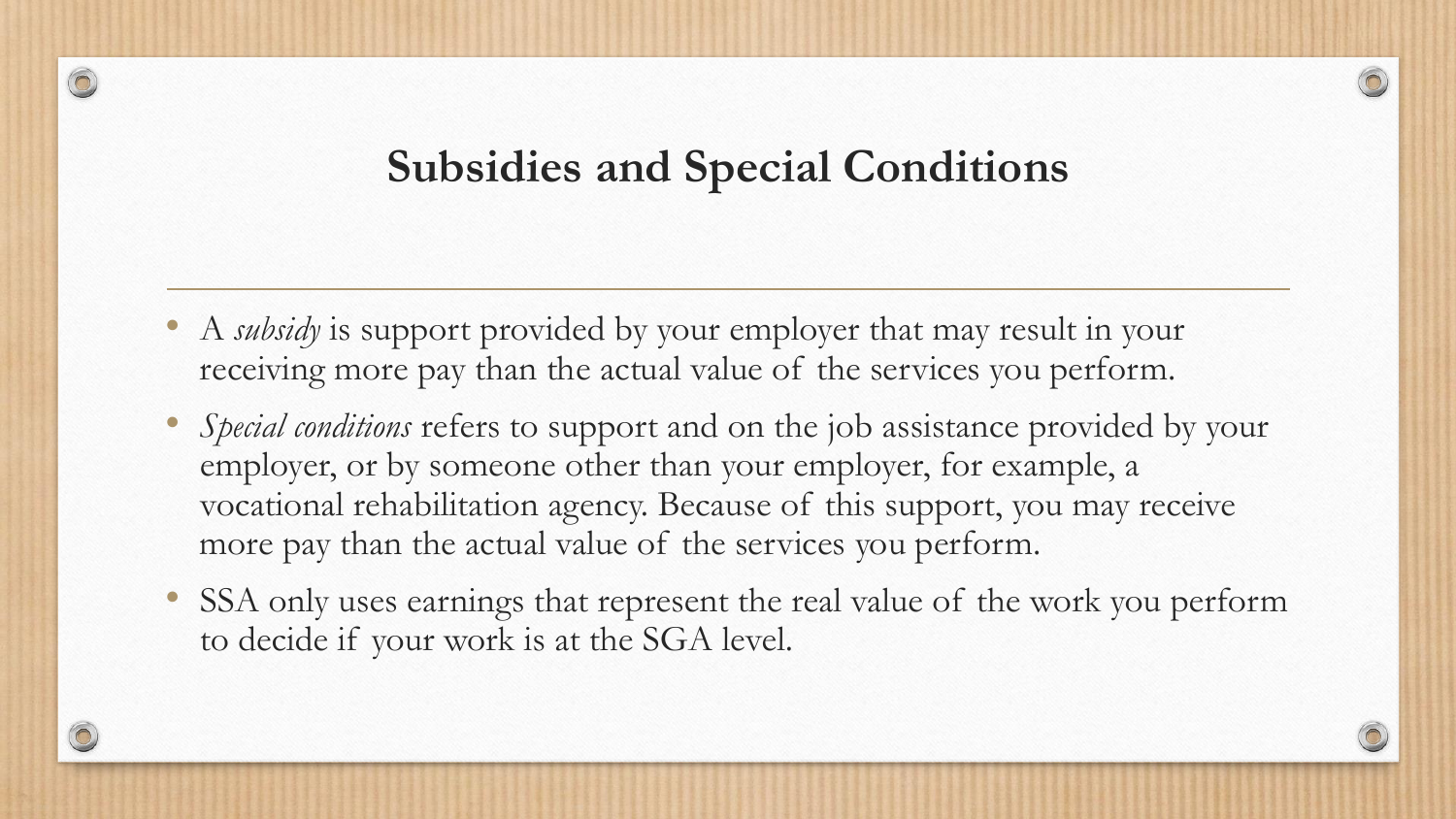#### **Subsidies and Special Conditions**

- A *subsidy* is support provided by your employer that may result in your receiving more pay than the actual value of the services you perform.
- *Special conditions* refers to support and on the job assistance provided by your employer, or by someone other than your employer, for example, a vocational rehabilitation agency. Because of this support, you may receive more pay than the actual value of the services you perform.
- SSA only uses earnings that represent the real value of the work you perform to decide if your work is at the SGA level.

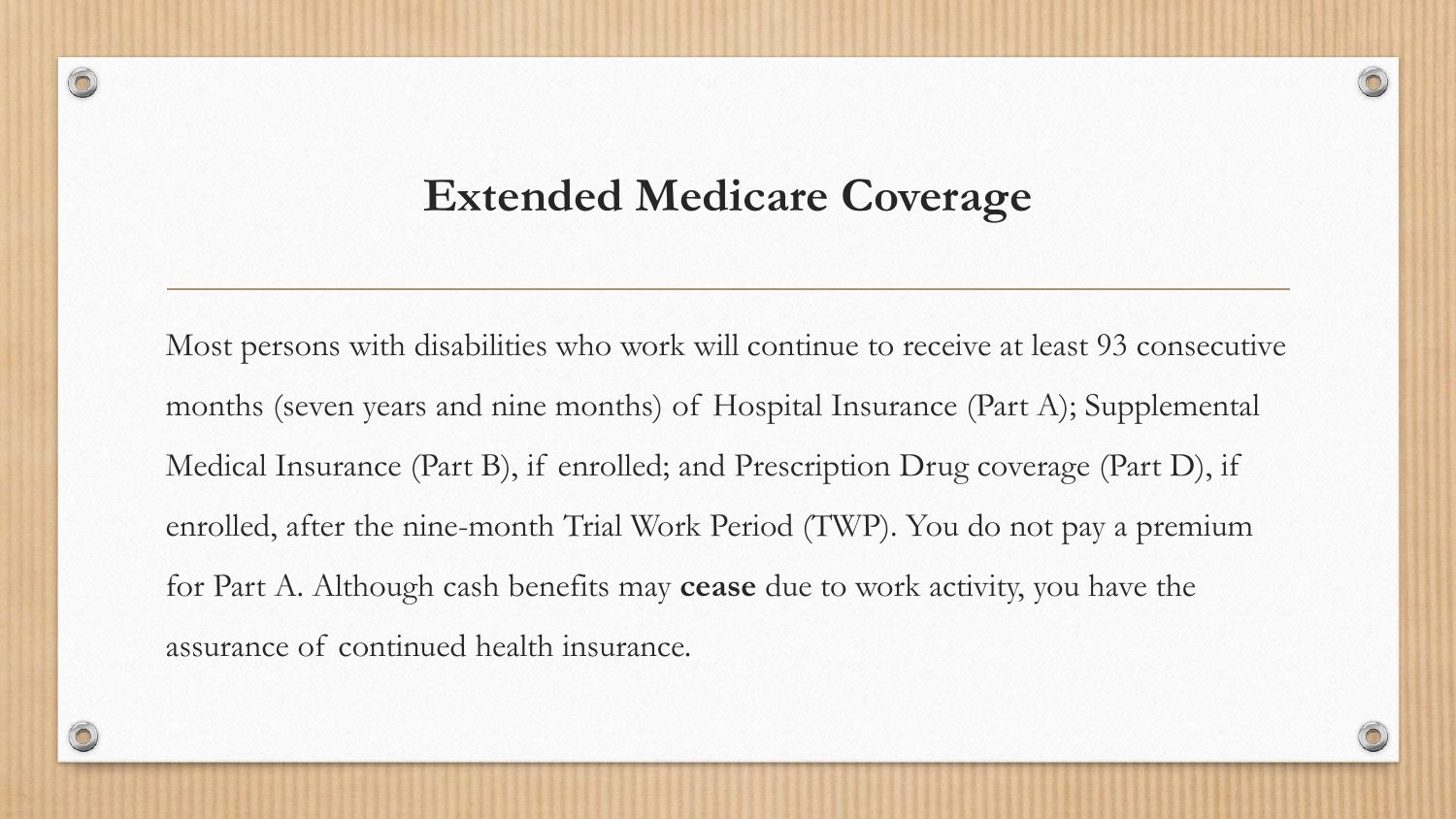#### **Extended Medicare Coverage**

 $\circledcirc$ 

Most persons with disabilities who work will continue to receive at least 93 consecutive months (seven years and nine months) of Hospital Insurance (Part A); Supplemental Medical Insurance (Part B), if enrolled; and Prescription Drug coverage (Part D), if enrolled, after the nine-month Trial Work Period (TWP). You do not pay a premium for Part A. Although cash benefits may **cease** due to work activity, you have the assurance of continued health insurance.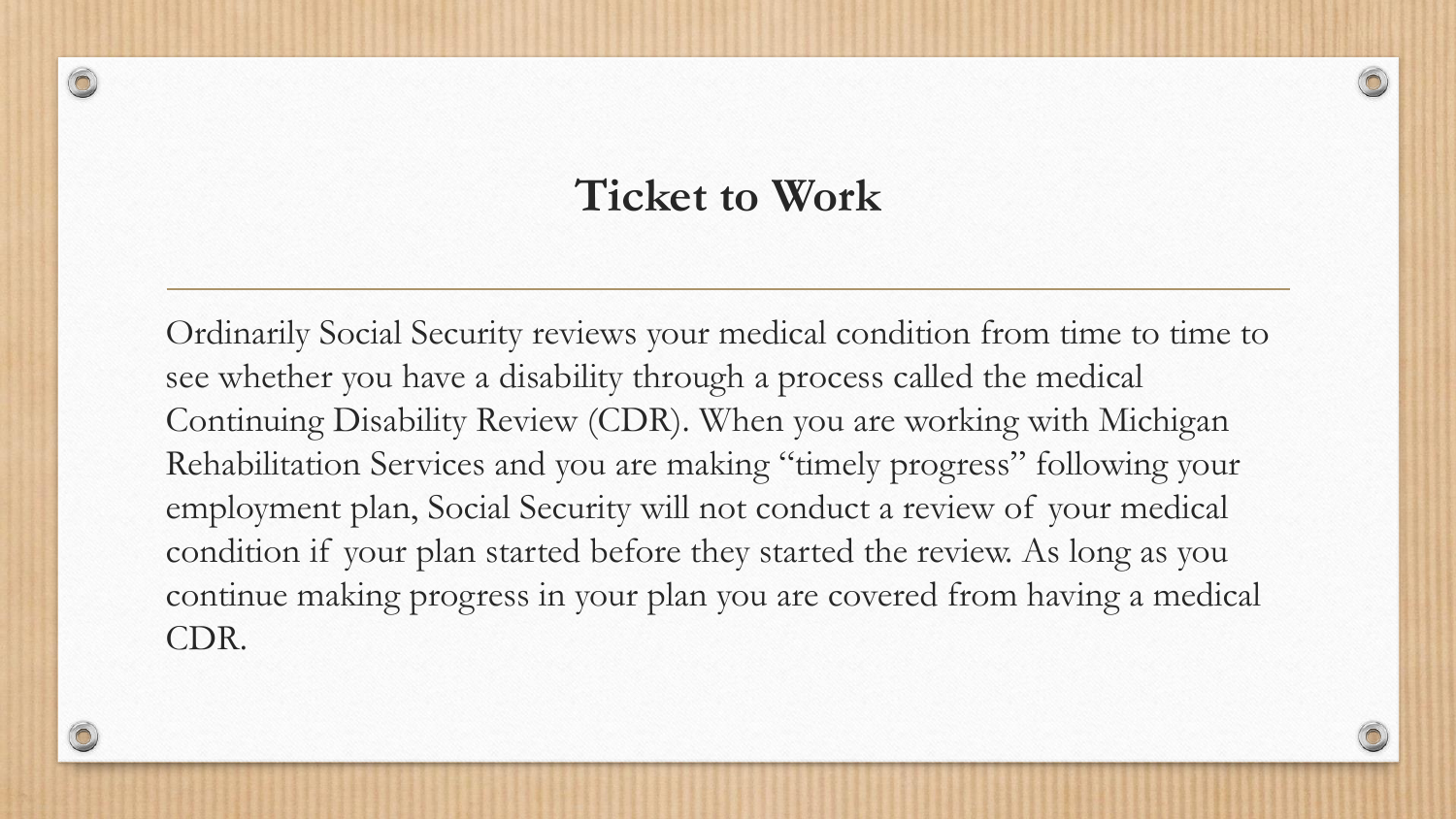#### **Ticket to Work**

 $\circledcirc$ 

Ordinarily Social Security reviews your medical condition from time to time to see whether you have a disability through a process called the medical Continuing Disability Review (CDR). When you are working with Michigan Rehabilitation Services and you are making "timely progress" following your employment plan, Social Security will not conduct a review of your medical condition if your plan started before they started the review. As long as you continue making progress in your plan you are covered from having a medical CDR.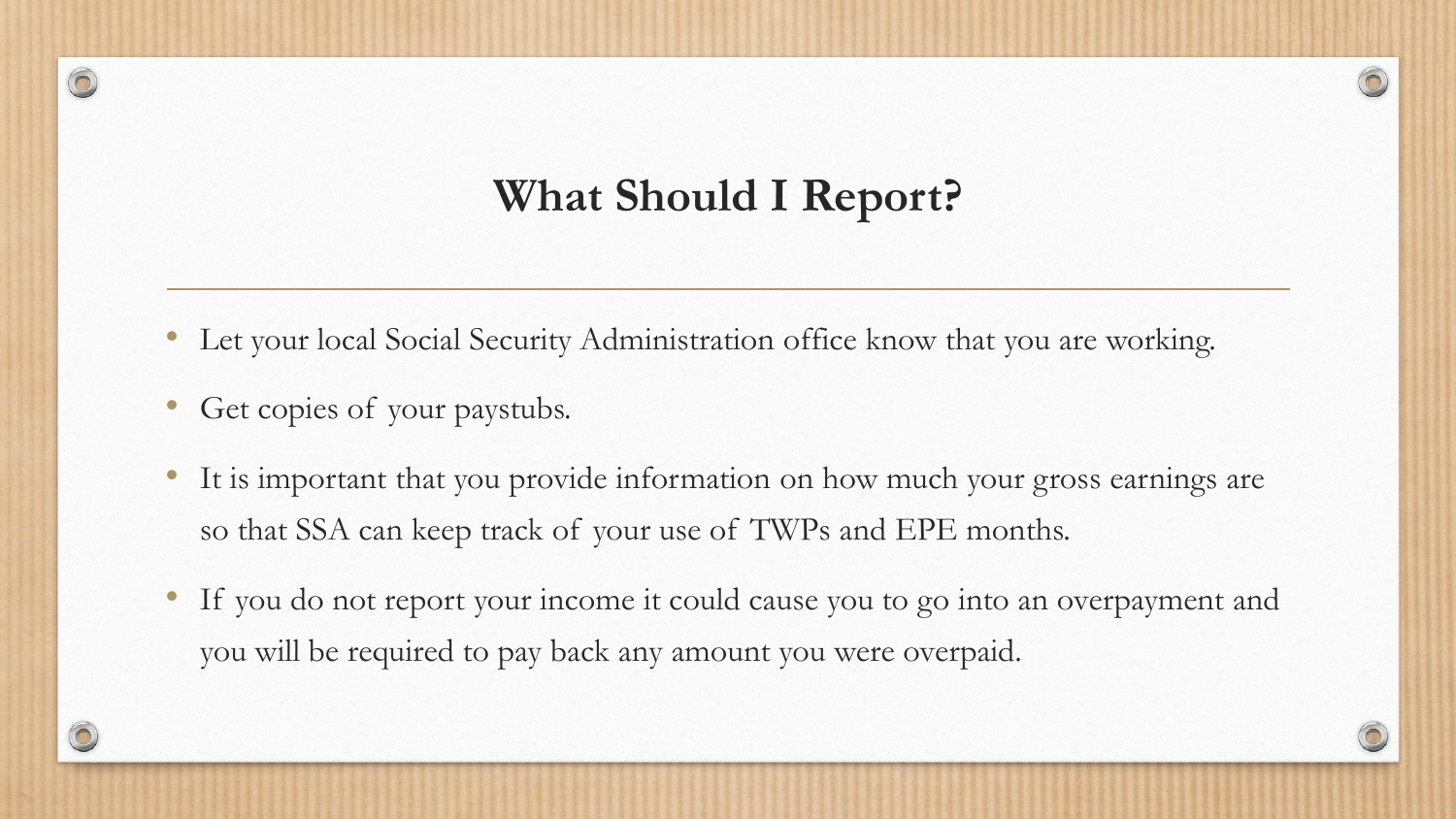#### **What Should I Report?**

- Let your local Social Security Administration office know that you are working.
- Get copies of your paystubs.
- It is important that you provide information on how much your gross earnings are so that SSA can keep track of your use of TWPs and EPE months.
- If you do not report your income it could cause you to go into an overpayment and you will be required to pay back any amount you were overpaid.